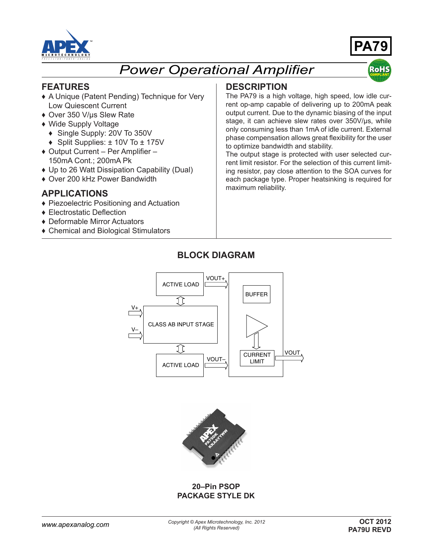



**RoH** 

# *Power Operational Amplifier*

#### **FEATURES**

- ♦ A Unique (Patent Pending) Technique for Very Low Quiescent Current
- ♦ Over 350 V/µs Slew Rate
- ♦ Wide Supply Voltage
- ♦ Single Supply: 20V To 350V
- ♦ Split Supplies: ± 10V To ± 175V
- ♦ Output Current Per Amplifier 150mA Cont.; 200mA Pk
- ♦ Up to 26 Watt Dissipation Capability (Dual)
- ♦ Over 200 kHz Power Bandwidth

#### **APPLICATIONS**

- ♦ Piezoelectric Positioning and Actuation
- ♦ Electrostatic Deflection
- ♦ Deformable Mirror Actuators
- ♦ Chemical and Biological Stimulators

#### **DESCRIPTION**

The PA79 is a high voltage, high speed, low idle current op-amp capable of delivering up to 200mA peak output current. Due to the dynamic biasing of the input stage, it can achieve slew rates over 350V/µs, while only consuming less than 1mA of idle current. External phase compensation allows great flexibility for the user to optimize bandwidth and stability.

The output stage is protected with user selected current limit resistor. For the selection of this current limiting resistor, pay close attention to the SOA curves for each package type. Proper heatsinking is required for maximum reliability.

### **BLOCK DIAGRAM**





#### **20–Pin PSOP PACKAGE STYLE DK**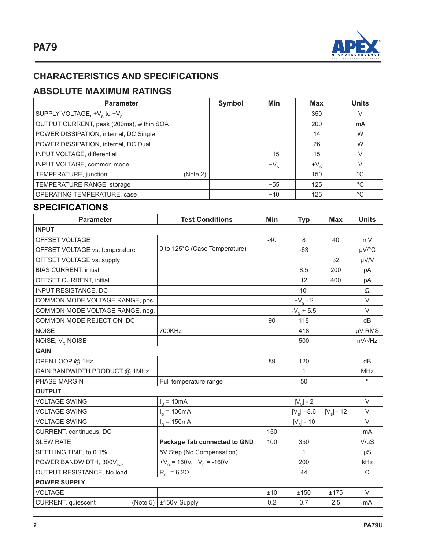

## **CHARACTERISTICS AND SPECIFICATIONS**

## **ABSOLUTE MAXIMUM RATINGS**

| <b>Parameter</b>                         | Symbol | Min          | <b>Max</b>   | <b>Units</b> |
|------------------------------------------|--------|--------------|--------------|--------------|
| SUPPLY VOLTAGE, $+V_s$ to $-V_s$         |        |              | 350          | V            |
| OUTPUT CURRENT, peak (200ms), within SOA |        |              | 200          | mA           |
| POWER DISSIPATION, internal, DC Single   |        |              | 14           | W            |
| POWER DISSIPATION, internal, DC Dual     |        |              | 26           | W            |
| INPUT VOLTAGE, differential              |        | $-15$        | 15           | V            |
| INPUT VOLTAGE, common mode               |        | $-V_{\rm s}$ | $+V_{\rm c}$ | V            |
| TEMPERATURE, junction<br>(Note 2)        |        |              | 150          | $^{\circ}C$  |
| TEMPERATURE RANGE, storage               |        | $-55$        | 125          | $^{\circ}C$  |
| OPERATING TEMPERATURE, case              |        | $-40$        | 125          | $^{\circ}C$  |

### **SPECIFICATIONS**

| <b>Parameter</b>                     | <b>Test Conditions</b>              | Min   | <b>Typ</b>          | <b>Max</b>         | <b>Units</b>   |  |
|--------------------------------------|-------------------------------------|-------|---------------------|--------------------|----------------|--|
| <b>INPUT</b>                         |                                     |       |                     |                    |                |  |
| OFFSET VOLTAGE                       |                                     | $-40$ | 8                   | 40                 | mV             |  |
| OFFSET VOLTAGE vs. temperature       | 0 to 125°C (Case Temperature)       |       | $-63$               |                    | µV/°C          |  |
| OFFSET VOLTAGE vs. supply            |                                     |       |                     | 32                 | µV/V           |  |
| <b>BIAS CURRENT, initial</b>         |                                     |       | 8.5                 | 200                | pA             |  |
| OFFSET CURRENT, initial              |                                     |       | 12                  | 400                | pA             |  |
| <b>INPUT RESISTANCE, DC</b>          |                                     |       | $10^{8}$            |                    | Ω              |  |
| COMMON MODE VOLTAGE RANGE, pos.      |                                     |       | $+V_{\rm s}$ - 2    |                    | $\vee$         |  |
| COMMON MODE VOLTAGE RANGE, neg.      |                                     |       | $-V_s + 5.5$        |                    | $\vee$         |  |
| COMMON MODE REJECTION, DC            |                                     | 90    | 118                 |                    | dB             |  |
| <b>NOISE</b>                         | 700KHz                              |       | 418                 |                    | µV RMS         |  |
| NOISE, $V_0$ NOISE                   |                                     |       | 500                 |                    | $nV/\sqrt{Hz}$ |  |
| <b>GAIN</b>                          |                                     |       |                     |                    |                |  |
| OPEN LOOP @ 1Hz                      |                                     | 89    | 120                 |                    | dB             |  |
| GAIN BANDWIDTH PRODUCT @ 1MHz        |                                     |       | $\mathbf{1}$        |                    | <b>MHz</b>     |  |
| <b>PHASE MARGIN</b>                  | Full temperature range              |       | 50                  |                    | $\mathsf{o}$   |  |
| <b>OUTPUT</b>                        |                                     |       |                     |                    |                |  |
| <b>VOLTAGE SWING</b>                 | $I_0 = 10mA$                        |       | $ V_{\rm s} $ - 2   |                    | $\vee$         |  |
| <b>VOLTAGE SWING</b>                 | $I_0 = 100mA$                       |       | $ V_{\rm s} $ - 8.6 | $ V_{\rm s} $ - 12 | $\vee$         |  |
| <b>VOLTAGE SWING</b>                 | $I_{0} = 150mA$                     |       | $ V_{\rm s} $ - 10  |                    | $\vee$         |  |
| CURRENT, continuous, DC              |                                     | 150   |                     |                    | mA             |  |
| <b>SLEW RATE</b>                     | <b>Package Tab connected to GND</b> | 100   | 350                 |                    | $V/\mu S$      |  |
| SETTLING TIME, to 0.1%               | 5V Step (No Compensation)           |       | $\mathbf{1}$        |                    | $\mu S$        |  |
| POWER BANDWIDTH, 300V <sub>P-P</sub> | $+V_s = 160V, -V_s = -160V$         |       | 200                 |                    | kHz            |  |
| OUTPUT RESISTANCE, No load           | $R_{CL} = 6.2\Omega$                |       | 44                  |                    | Ω              |  |
| <b>POWER SUPPLY</b>                  |                                     |       |                     |                    |                |  |
| <b>VOLTAGE</b>                       |                                     | ±10   | ±150                | ±175               | $\vee$         |  |
| CURRENT, quiescent<br>(Note 5) $ $   | ±150V Supply                        | 0.2   | 0.7                 | 2.5                | mA             |  |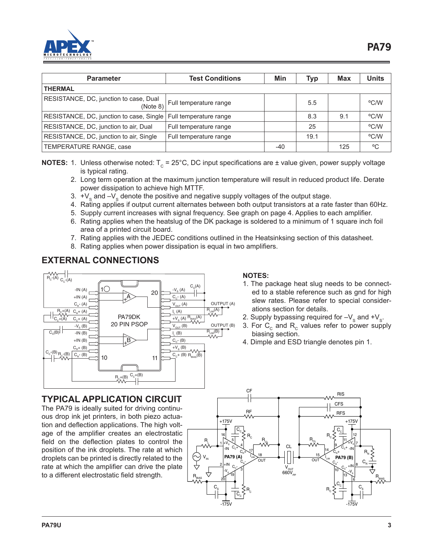

| <b>Parameter</b>                                                  | <b>Test Conditions</b> | Min | Typ  | Max | <b>Units</b> |  |
|-------------------------------------------------------------------|------------------------|-----|------|-----|--------------|--|
| <b>THERMAL</b>                                                    |                        |     |      |     |              |  |
| RESISTANCE, DC, junction to case, Dual<br>(Note 8)                | Full temperature range |     | 5.5  |     | °C/W         |  |
| RESISTANCE, DC, junction to case, Single   Full temperature range |                        |     | 8.3  | 9.1 | °C/W         |  |
| RESISTANCE, DC, junction to air, Dual                             | Full temperature range |     | 25   |     | °C/W         |  |
| RESISTANCE, DC, junction to air, Single                           | Full temperature range |     | 19.1 |     | °C/W         |  |
| TEMPERATURE RANGE, case                                           |                        | -40 |      | 125 | °C           |  |

**NOTES:** 1. Unless otherwise noted:  $T_c = 25^{\circ}$ C, DC input specifications are  $\pm$  value given, power supply voltage is typical rating.

- 2. Long term operation at the maximum junction temperature will result in reduced product life. Derate power dissipation to achieve high MTTF.
- 3.  $\pm V_{\rm s}$  and  $-V_{\rm s}$  denote the positive and negative supply voltages of the output stage.
- 4. Rating applies if output current alternates between both output transistors at a rate faster than 60Hz.
- 5. Supply current increases with signal frequency. See graph on page 4. Applies to each amplifier.
- 6. Rating applies when the heatslug of the DK package is soldered to a minimum of 1 square inch foil area of a printed circuit board.
- 7. Rating applies with the JEDEC conditions outlined in the Heatsinksing section of this datasheet.
- 8. Rating applies when power dissipation is equal in two amplifiers.

### **EXTERNAL CONNECTIONS**



#### **TYPICAL APPLICATION CIRCUIT**

The PA79 is ideally suited for driving continuous drop ink jet printers, in both piezo actuation and deflection applications. The high voltage of the amplifier creates an electrostatic field on the deflection plates to control the position of the ink droplets. The rate at which droplets can be printed is directly related to the rate at which the amplifier can drive the plate to a different electrostatic field strength.

#### **NOTES:**

- 1. The package heat slug needs to be connected to a stable reference such as gnd for high slew rates. Please refer to special considerations section for details.
- 2. Supply bypassing required for  $-V_s$  and  $+V_s$ .
- 3. For  $C_c$  and  $R_c$  values refer to power supply biasing section.
- 4. Dimple and ESD triangle denotes pin 1.

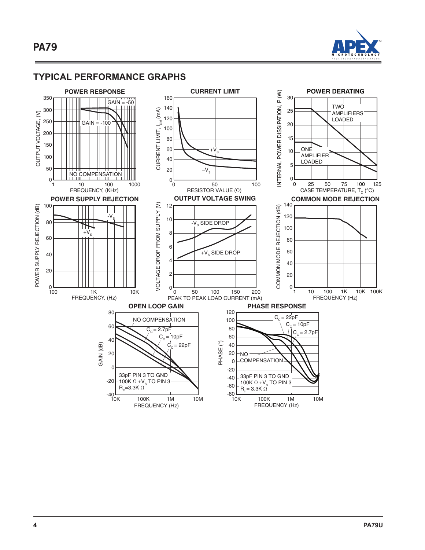

#### **TYPICAL PERFORMANCE GRAPHS**

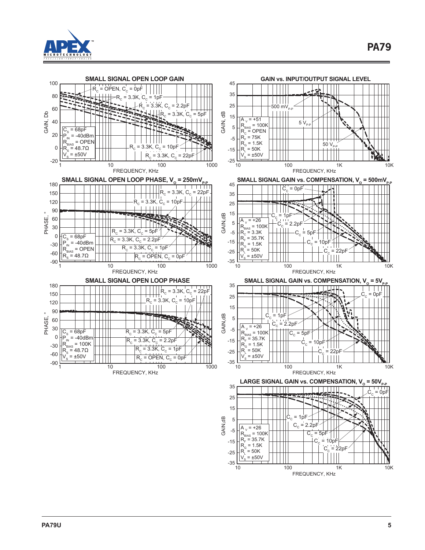



FREQUENCY, KHz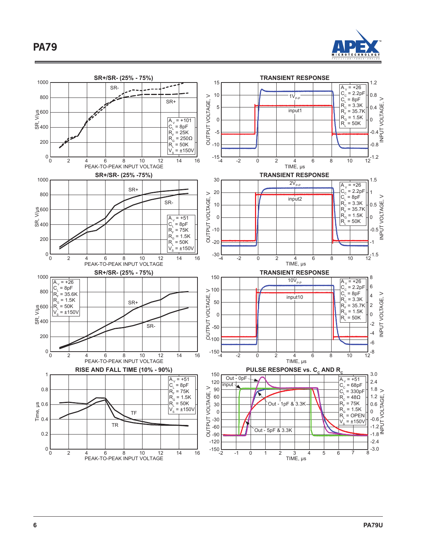

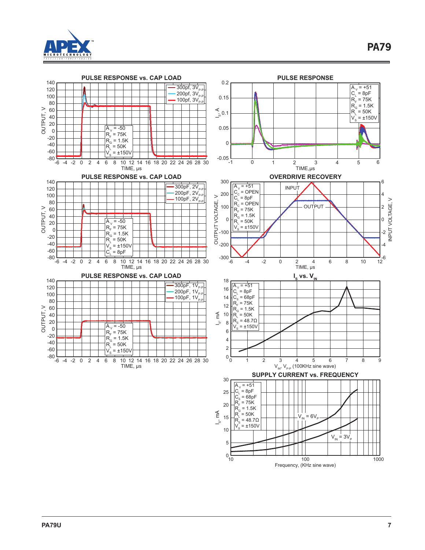

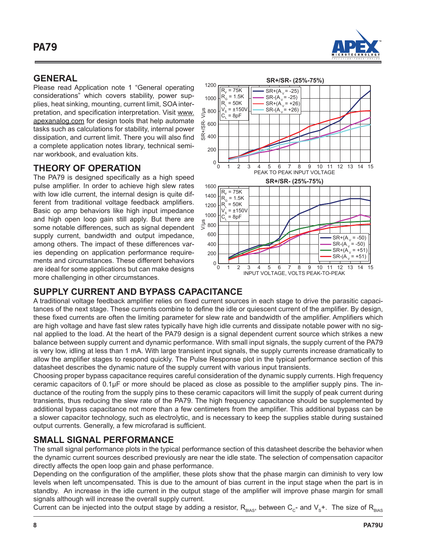

#### **GENERAL**

Please read Application note 1 "General operating considerations" which covers stability, power supplies, heat sinking, mounting, current limit, SOA interpretation, and specification interpretation. Visit www. apexanalog.com for design tools that help automate tasks such as calculations for stability, internal power dissipation, and current limit. There you will also find a complete application notes library, technical seminar workbook, and evaluation kits.

### **THEORY OF OPERATION**

The PA79 is designed specifically as a high speed pulse amplifier. In order to achieve high slew rates with low idle current, the internal design is quite different from traditional voltage feedback amplifiers. Basic op amp behaviors like high input impedance and high open loop gain still apply. But there are some notable differences, such as signal dependent supply current, bandwidth and output impedance, among others. The impact of these differences varies depending on application performance requirements and circumstances. These different behaviors are ideal for some applications but can make designs more challenging in other circumstances.



## **SUPPLY CURRENT AND BYPASS CAPACITANCE**

A traditional voltage feedback amplifier relies on fixed current sources in each stage to drive the parasitic capacitances of the next stage. These currents combine to define the idle or quiescent current of the amplifier. By design, these fixed currents are often the limiting parameter for slew rate and bandwidth of the amplifier. Amplifiers which are high voltage and have fast slew rates typically have high idle currents and dissipate notable power with no signal applied to the load. At the heart of the PA79 design is a signal dependent current source which strikes a new balance between supply current and dynamic performance. With small input signals, the supply current of the PA79 is very low, idling at less than 1 mA. With large transient input signals, the supply currents increase dramatically to allow the amplifier stages to respond quickly. The Pulse Response plot in the typical performance section of this datasheet describes the dynamic nature of the supply current with various input transients.

Choosing proper bypass capacitance requires careful consideration of the dynamic supply currents. High frequency ceramic capacitors of 0.1µF or more should be placed as close as possible to the amplifier supply pins. The inductance of the routing from the supply pins to these ceramic capacitors will limit the supply of peak current during transients, thus reducing the slew rate of the PA79. The high frequency capacitance should be supplemented by additional bypass capacitance not more than a few centimeters from the amplifier. This additional bypass can be a slower capacitor technology, such as electrolytic, and is necessary to keep the supplies stable during sustained output currents. Generally, a few microfarad is sufficient.

### **SMALL SIGNAL PERFORMANCE**

The small signal performance plots in the typical performance section of this datasheet describe the behavior when the dynamic current sources described previously are near the idle state. The selection of compensation capacitor directly affects the open loop gain and phase performance.

Depending on the configuration of the amplifier, these plots show that the phase margin can diminish to very low levels when left uncompensated. This is due to the amount of bias current in the input stage when the part is in standby. An increase in the idle current in the output stage of the amplifier will improve phase margin for small signals although will increase the overall supply current.

Current can be injected into the output stage by adding a resistor,  $R_{\text{max}}$ , between  $C_c$ - and  $V_s$ +. The size of  $R_{\text{max}}$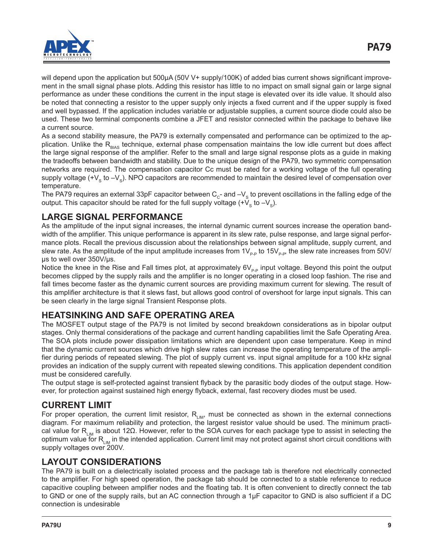

will depend upon the application but 500µA (50V V+ supply/100K) of added bias current shows significant improvement in the small signal phase plots. Adding this resistor has little to no impact on small signal gain or large signal performance as under these conditions the current in the input stage is elevated over its idle value. It should also be noted that connecting a resistor to the upper supply only injects a fixed current and if the upper supply is fixed and well bypassed. If the application includes variable or adjustable supplies, a current source diode could also be used. These two terminal components combine a JFET and resistor connected within the package to behave like a current source.

As a second stability measure, the PA79 is externally compensated and performance can be optimized to the application. Unlike the  $R<sub>diag</sub>$  technique, external phase compensation maintains the low idle current but does affect the large signal response of the amplifier. Refer to the small and large signal response plots as a guide in making the tradeoffs between bandwidth and stability. Due to the unique design of the PA79, two symmetric compensation networks are required. The compensation capacitor Cc must be rated for a working voltage of the full operating supply voltage (+ $V_s$  to  $-V_s$ ). NPO capacitors are recommended to maintain the desired level of compensation over temperature.

The PA79 requires an external 33pF capacitor between  $C_c$ - and  $-V_s$  to prevent oscillations in the falling edge of the output. This capacitor should be rated for the full supply voltage  $(+V<sub>s</sub>$  to  $-V<sub>s</sub>)$ .

### **LARGE SIGNAL PERFORMANCE**

As the amplitude of the input signal increases, the internal dynamic current sources increase the operation bandwidth of the amplifier. This unique performance is apparent in its slew rate, pulse response, and large signal performance plots. Recall the previous discussion about the relationships between signal amplitude, supply current, and slew rate. As the amplitude of the input amplitude increases from  $1V_{p,p}$  to 15 $V_{p,p}$ , the slew rate increases from 50V/ µs to well over 350V/µs.

Notice the knee in the Rise and Fall times plot, at approximately  $6V_{p,p}$  input voltage. Beyond this point the output becomes clipped by the supply rails and the amplifier is no longer operating in a closed loop fashion. The rise and fall times become faster as the dynamic current sources are providing maximum current for slewing. The result of this amplifier architecture is that it slews fast, but allows good control of overshoot for large input signals. This can be seen clearly in the large signal Transient Response plots.

### **HEATSINKING AND SAFE OPERATING AREA**

The MOSFET output stage of the PA79 is not limited by second breakdown considerations as in bipolar output stages. Only thermal considerations of the package and current handling capabilities limit the Safe Operating Area. The SOA plots include power dissipation limitations which are dependent upon case temperature. Keep in mind that the dynamic current sources which drive high slew rates can increase the operating temperature of the amplifier during periods of repeated slewing. The plot of supply current vs. input signal amplitude for a 100 kHz signal provides an indication of the supply current with repeated slewing conditions. This application dependent condition must be considered carefully.

The output stage is self-protected against transient flyback by the parasitic body diodes of the output stage. However, for protection against sustained high energy flyback, external, fast recovery diodes must be used.

### **CURRENT LIMIT**

For proper operation, the current limit resistor,  $R_{LM}$ , must be connected as shown in the external connections diagram. For maximum reliability and protection, the largest resistor value should be used. The minimum practical value for R<sub>LIM</sub> is about 12Ω. However, refer to the SOA curves for each package type to assist in selecting the optimum value for  $R_{LM}$  in the intended application. Current limit may not protect against short circuit conditions with supply voltages over 200V.

## **LAYOUT CONSIDERATIONS**

The PA79 is built on a dielectrically isolated process and the package tab is therefore not electrically connected to the amplifier. For high speed operation, the package tab should be connected to a stable reference to reduce capacitive coupling between amplifier nodes and the floating tab. It is often convenient to directly connect the tab to GND or one of the supply rails, but an AC connection through a 1µF capacitor to GND is also sufficient if a DC connection is undesirable